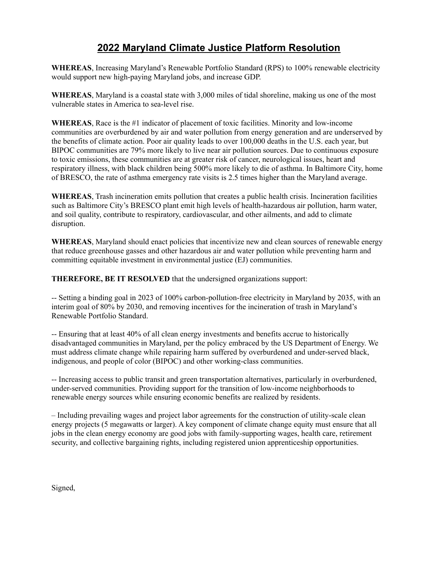## **2022 Maryland Climate Justice Platform Resolution**

**WHEREAS**, Increasing Maryland's Renewable Portfolio Standard (RPS) to 100% renewable electricity would support new high-paying Maryland jobs, and increase GDP.

**WHEREAS**, Maryland is a coastal state with 3,000 miles of tidal shoreline, making us one of the most vulnerable states in America to sea-level rise.

**WHEREAS**, Race is the #1 indicator of placement of toxic facilities. Minority and low-income communities are overburdened by air and water pollution from energy generation and are underserved by the benefits of climate action. Poor air quality leads to over 100,000 deaths in the U.S. each year, but BIPOC communities are 79% more likely to live near air pollution sources. Due to continuous exposure to toxic emissions, these communities are at greater risk of cancer, neurological issues, heart and respiratory illness, with black children being 500% more likely to die of asthma. In Baltimore City, home of BRESCO, the rate of asthma emergency rate visits is 2.5 times higher than the Maryland average.

**WHEREAS**, Trash incineration emits pollution that creates a public health crisis. Incineration facilities such as Baltimore City's BRESCO plant emit high levels of health-hazardous air pollution, harm water, and soil quality, contribute to respiratory, cardiovascular, and other ailments, and add to climate disruption.

**WHEREAS**, Maryland should enact policies that incentivize new and clean sources of renewable energy that reduce greenhouse gasses and other hazardous air and water pollution while preventing harm and committing equitable investment in environmental justice (EJ) communities.

**THEREFORE, BE IT RESOLVED** that the undersigned organizations support:

-- Setting a binding goal in 2023 of 100% carbon-pollution-free electricity in Maryland by 2035, with an interim goal of 80% by 2030, and removing incentives for the incineration of trash in Maryland's Renewable Portfolio Standard.

-- Ensuring that at least 40% of all clean energy investments and benefits accrue to historically disadvantaged communities in Maryland, per the policy embraced by the US Department of Energy. We must address climate change while repairing harm suffered by overburdened and under-served black, indigenous, and people of color (BIPOC) and other working-class communities.

-- Increasing access to public transit and green transportation alternatives, particularly in overburdened, under-served communities. Providing support for the transition of low-income neighborhoods to renewable energy sources while ensuring economic benefits are realized by residents.

– Including prevailing wages and project labor agreements for the construction of utility-scale clean energy projects (5 megawatts or larger). A key component of climate change equity must ensure that all jobs in the clean energy economy are good jobs with family-supporting wages, health care, retirement security, and collective bargaining rights, including registered union apprenticeship opportunities.

Signed,